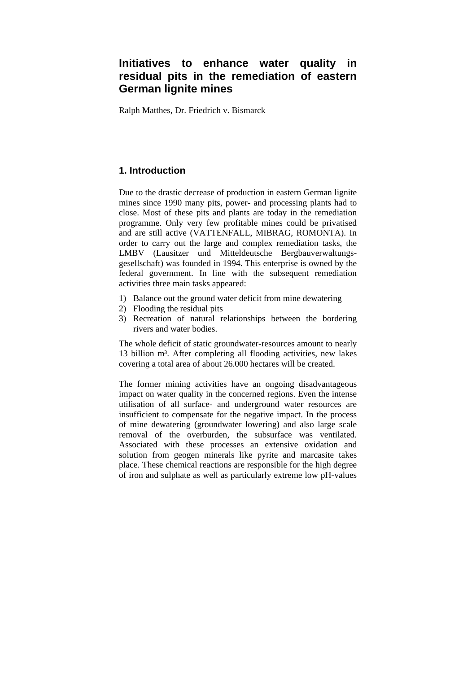# **Initiatives to enhance water quality in residual pits in the remediation of eastern German lignite mines**

Ralph Matthes, Dr. Friedrich v. Bismarck

# **1. Introduction**

Due to the drastic decrease of production in eastern German lignite mines since 1990 many pits, power- and processing plants had to close. Most of these pits and plants are today in the remediation programme. Only very few profitable mines could be privatised and are still active (VATTENFALL, MIBRAG, ROMONTA). In order to carry out the large and complex remediation tasks, the LMBV (Lausitzer und Mitteldeutsche Bergbauverwaltungsgesellschaft) was founded in 1994. This enterprise is owned by the federal government. In line with the subsequent remediation activities three main tasks appeared:

- 1) Balance out the ground water deficit from mine dewatering
- 2) Flooding the residual pits
- 3) Recreation of natural relationships between the bordering rivers and water bodies.

The whole deficit of static groundwater-resources amount to nearly 13 billion m<sup>3</sup>. After completing all flooding activities, new lakes covering a total area of about 26.000 hectares will be created.

The former mining activities have an ongoing disadvantageous impact on water quality in the concerned regions. Even the intense utilisation of all surface- and underground water resources are insufficient to compensate for the negative impact. In the process of mine dewatering (groundwater lowering) and also large scale removal of the overburden, the subsurface was ventilated. Associated with these processes an extensive oxidation and solution from geogen minerals like pyrite and marcasite takes place. These chemical reactions are responsible for the high degree of iron and sulphate as well as particularly extreme low pH-values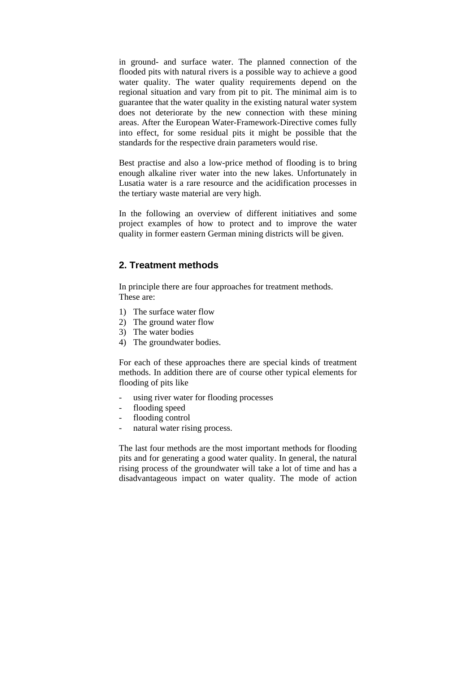in ground- and surface water. The planned connection of the flooded pits with natural rivers is a possible way to achieve a good water quality. The water quality requirements depend on the regional situation and vary from pit to pit. The minimal aim is to guarantee that the water quality in the existing natural water system does not deteriorate by the new connection with these mining areas. After the European Water-Framework-Directive comes fully into effect, for some residual pits it might be possible that the standards for the respective drain parameters would rise.

Best practise and also a low-price method of flooding is to bring enough alkaline river water into the new lakes. Unfortunately in Lusatia water is a rare resource and the acidification processes in the tertiary waste material are very high.

In the following an overview of different initiatives and some project examples of how to protect and to improve the water quality in former eastern German mining districts will be given.

# **2. Treatment methods**

In principle there are four approaches for treatment methods. These are:

- 1) The surface water flow
- 2) The ground water flow
- 3) The water bodies
- 4) The groundwater bodies.

For each of these approaches there are special kinds of treatment methods. In addition there are of course other typical elements for flooding of pits like

- using river water for flooding processes
- flooding speed
- flooding control
- natural water rising process.

The last four methods are the most important methods for flooding pits and for generating a good water quality. In general, the natural rising process of the groundwater will take a lot of time and has a disadvantageous impact on water quality. The mode of action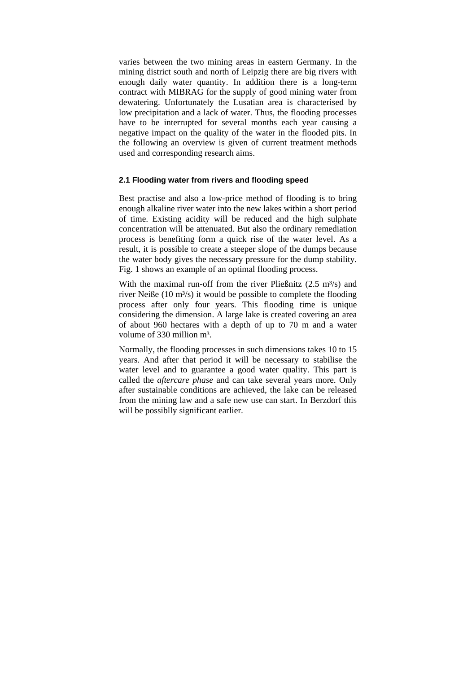varies between the two mining areas in eastern Germany. In the mining district south and north of Leipzig there are big rivers with enough daily water quantity. In addition there is a long-term contract with MIBRAG for the supply of good mining water from dewatering. Unfortunately the Lusatian area is characterised by low precipitation and a lack of water. Thus, the flooding processes have to be interrupted for several months each year causing a negative impact on the quality of the water in the flooded pits. In the following an overview is given of current treatment methods used and corresponding research aims.

## **2.1 Flooding water from rivers and flooding speed**

Best practise and also a low-price method of flooding is to bring enough alkaline river water into the new lakes within a short period of time. Existing acidity will be reduced and the high sulphate concentration will be attenuated. But also the ordinary remediation process is benefiting form a quick rise of the water level. As a result, it is possible to create a steeper slope of the dumps because the water body gives the necessary pressure for the dump stability. Fig. 1 shows an example of an optimal flooding process.

With the maximal run-off from the river Pließnitz  $(2.5 \text{ m}^3/\text{s})$  and river Neiße (10  $m<sup>3</sup>/s$ ) it would be possible to complete the flooding process after only four years. This flooding time is unique considering the dimension. A large lake is created covering an area of about 960 hectares with a depth of up to 70 m and a water volume of 330 million m<sup>3</sup>.

Normally, the flooding processes in such dimensions takes 10 to 15 years. And after that period it will be necessary to stabilise the water level and to guarantee a good water quality. This part is called the *aftercare phase* and can take several years more. Only after sustainable conditions are achieved, the lake can be released from the mining law and a safe new use can start. In Berzdorf this will be possiblly significant earlier.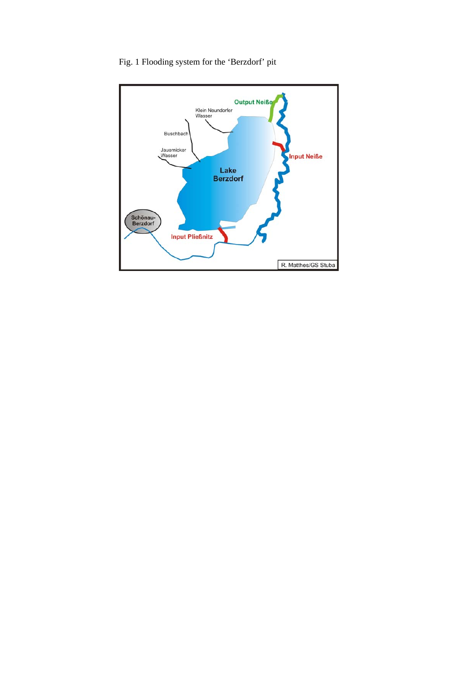

Fig. 1 Flooding system for the 'Berzdorf' pit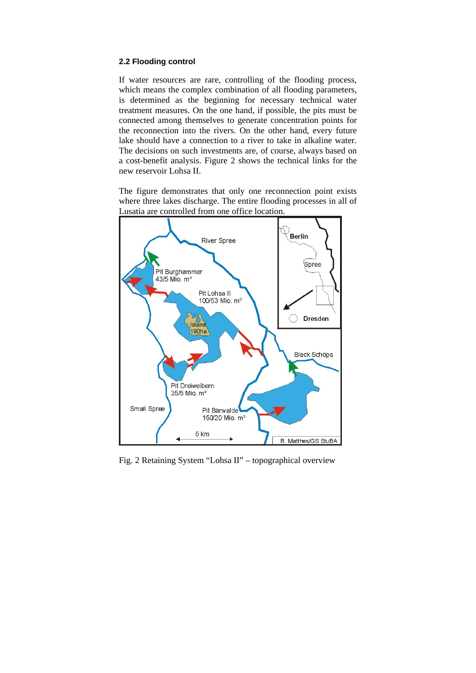## **2.2 Flooding control**

If water resources are rare, controlling of the flooding process, which means the complex combination of all flooding parameters, is determined as the beginning for necessary technical water treatment measures. On the one hand, if possible, the pits must be connected among themselves to generate concentration points for the reconnection into the rivers. On the other hand, every future lake should have a connection to a river to take in alkaline water. The decisions on such investments are, of course, always based on a cost-benefit analysis. Figure 2 shows the technical links for the new reservoir Lohsa II.

The figure demonstrates that only one reconnection point exists where three lakes discharge. The entire flooding processes in all of Lusatia are controlled from one office location.



Fig. 2 Retaining System "Lohsa II" – topographical overview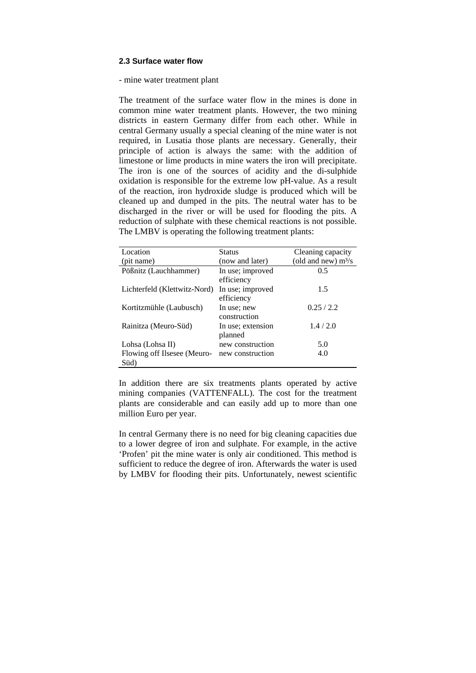#### **2.3 Surface water flow**

- mine water treatment plant

The treatment of the surface water flow in the mines is done in common mine water treatment plants. However, the two mining districts in eastern Germany differ from each other. While in central Germany usually a special cleaning of the mine water is not required, in Lusatia those plants are necessary. Generally, their principle of action is always the same: with the addition of limestone or lime products in mine waters the iron will precipitate. The iron is one of the sources of acidity and the di-sulphide oxidation is responsible for the extreme low pH-value. As a result of the reaction, iron hydroxide sludge is produced which will be cleaned up and dumped in the pits. The neutral water has to be discharged in the river or will be used for flooding the pits. A reduction of sulphate with these chemical reactions is not possible. The LMBV is operating the following treatment plants:

| Location                            | <b>Status</b>                  | Cleaning capacity     |
|-------------------------------------|--------------------------------|-----------------------|
| (pit name)                          | (now and later)                | (old and new) $m^3/s$ |
| Pößnitz (Lauchhammer)               | In use; improved<br>efficiency | 0.5                   |
| Lichterfeld (Klettwitz-Nord)        | In use; improved<br>efficiency | 1.5                   |
| Kortitzmühle (Laubusch)             | In use; new<br>construction    | 0.25/2.2              |
| Rainitza (Meuro-Süd)                | In use; extension<br>planned   | 1.4/2.0               |
| Lohsa (Lohsa II)                    | new construction               | 5.0                   |
| Flowing off Ilsesee (Meuro-<br>Süd) | new construction               | 4.0                   |

In addition there are six treatments plants operated by active mining companies (VATTENFALL). The cost for the treatment plants are considerable and can easily add up to more than one million Euro per year.

In central Germany there is no need for big cleaning capacities due to a lower degree of iron and sulphate. For example, in the active 'Profen' pit the mine water is only air conditioned. This method is sufficient to reduce the degree of iron. Afterwards the water is used by LMBV for flooding their pits. Unfortunately, newest scientific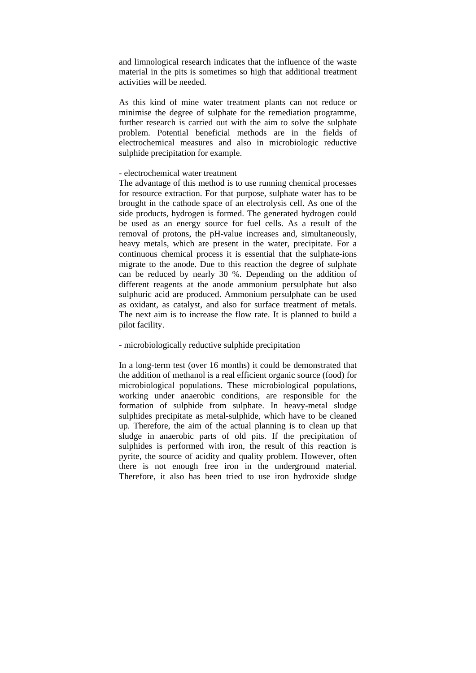and limnological research indicates that the influence of the waste material in the pits is sometimes so high that additional treatment activities will be needed.

As this kind of mine water treatment plants can not reduce or minimise the degree of sulphate for the remediation programme, further research is carried out with the aim to solve the sulphate problem. Potential beneficial methods are in the fields of electrochemical measures and also in microbiologic reductive sulphide precipitation for example.

## - electrochemical water treatment

The advantage of this method is to use running chemical processes for resource extraction. For that purpose, sulphate water has to be brought in the cathode space of an electrolysis cell. As one of the side products, hydrogen is formed. The generated hydrogen could be used as an energy source for fuel cells. As a result of the removal of protons, the pH-value increases and, simultaneously, heavy metals, which are present in the water, precipitate. For a continuous chemical process it is essential that the sulphate-ions migrate to the anode. Due to this reaction the degree of sulphate can be reduced by nearly 30 %. Depending on the addition of different reagents at the anode ammonium persulphate but also sulphuric acid are produced. Ammonium persulphate can be used as oxidant, as catalyst, and also for surface treatment of metals. The next aim is to increase the flow rate. It is planned to build a pilot facility.

## - microbiologically reductive sulphide precipitation

In a long-term test (over 16 months) it could be demonstrated that the addition of methanol is a real efficient organic source (food) for microbiological populations. These microbiological populations, working under anaerobic conditions, are responsible for the formation of sulphide from sulphate. In heavy-metal sludge sulphides precipitate as metal-sulphide, which have to be cleaned up. Therefore, the aim of the actual planning is to clean up that sludge in anaerobic parts of old pits. If the precipitation of sulphides is performed with iron, the result of this reaction is pyrite, the source of acidity and quality problem. However, often there is not enough free iron in the underground material. Therefore, it also has been tried to use iron hydroxide sludge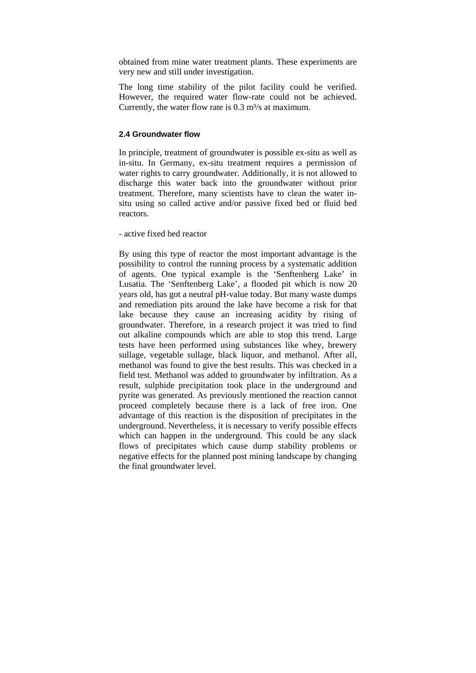obtained from mine water treatment plants. These experiments are very new and still under investigation.

The long time stability of the pilot facility could be verified. However, the required water flow-rate could not be achieved. Currently, the water flow rate is  $0.3 \text{ m}^3/\text{s}$  at maximum.

## **2.4 Groundwater flow**

In principle, treatment of groundwater is possible ex-situ as well as in-situ. In Germany, ex-situ treatment requires a permission of water rights to carry groundwater. Additionally, it is not allowed to discharge this water back into the groundwater without prior treatment. Therefore, many scientists have to clean the water insitu using so called active and/or passive fixed bed or fluid bed reactors.

- active fixed bed reactor

By using this type of reactor the most important advantage is the possibility to control the running process by a systematic addition of agents. One typical example is the 'Senftenberg Lake' in Lusatia. The 'Senftenberg Lake', a flooded pit which is now 20 years old, has got a neutral pH-value today. But many waste dumps and remediation pits around the lake have become a risk for that lake because they cause an increasing acidity by rising of groundwater. Therefore, in a research project it was tried to find out alkaline compounds which are able to stop this trend. Large tests have been performed using substances like whey, brewery sullage, vegetable sullage, black liquor, and methanol. After all, methanol was found to give the best results. This was checked in a field test. Methanol was added to groundwater by infiltration. As a result, sulphide precipitation took place in the underground and pyrite was generated. As previously mentioned the reaction cannot proceed completely because there is a lack of free iron. One advantage of this reaction is the disposition of precipitates in the underground. Nevertheless, it is necessary to verify possible effects which can happen in the underground. This could be any slack flows of precipitates which cause dump stability problems or negative effects for the planned post mining landscape by changing the final groundwater level.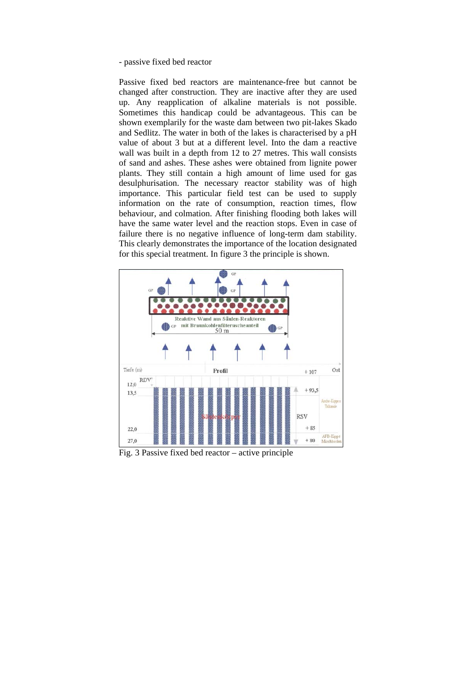#### - passive fixed bed reactor

Passive fixed bed reactors are maintenance-free but cannot be changed after construction. They are inactive after they are used up. Any reapplication of alkaline materials is not possible. Sometimes this handicap could be advantageous. This can be shown exemplarily for the waste dam between two pit-lakes Skado and Sedlitz. The water in both of the lakes is characterised by a pH value of about 3 but at a different level. Into the dam a reactive wall was built in a depth from 12 to 27 metres. This wall consists of sand and ashes. These ashes were obtained from lignite power plants. They still contain a high amount of lime used for gas desulphurisation. The necessary reactor stability was of high importance. This particular field test can be used to supply information on the rate of consumption, reaction times, flow behaviour, and colmation. After finishing flooding both lakes will have the same water level and the reaction stops. Even in case of failure there is no negative influence of long-term dam stability. This clearly demonstrates the importance of the location designated for this special treatment. In figure 3 the principle is shown.



Fig. 3 Passive fixed bed reactor – active principle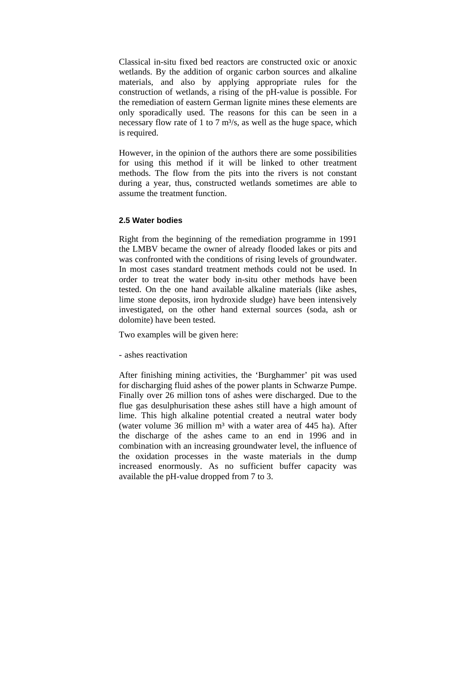Classical in-situ fixed bed reactors are constructed oxic or anoxic wetlands. By the addition of organic carbon sources and alkaline materials, and also by applying appropriate rules for the construction of wetlands, a rising of the pH-value is possible. For the remediation of eastern German lignite mines these elements are only sporadically used. The reasons for this can be seen in a necessary flow rate of 1 to 7  $\text{m}^3$ /s, as well as the huge space, which is required.

However, in the opinion of the authors there are some possibilities for using this method if it will be linked to other treatment methods. The flow from the pits into the rivers is not constant during a year, thus, constructed wetlands sometimes are able to assume the treatment function.

### **2.5 Water bodies**

Right from the beginning of the remediation programme in 1991 the LMBV became the owner of already flooded lakes or pits and was confronted with the conditions of rising levels of groundwater. In most cases standard treatment methods could not be used. In order to treat the water body in-situ other methods have been tested. On the one hand available alkaline materials (like ashes, lime stone deposits, iron hydroxide sludge) have been intensively investigated, on the other hand external sources (soda, ash or dolomite) have been tested.

Two examples will be given here:

- ashes reactivation

After finishing mining activities, the 'Burghammer' pit was used for discharging fluid ashes of the power plants in Schwarze Pumpe. Finally over 26 million tons of ashes were discharged. Due to the flue gas desulphurisation these ashes still have a high amount of lime. This high alkaline potential created a neutral water body (water volume  $36$  million  $m<sup>3</sup>$  with a water area of 445 ha). After the discharge of the ashes came to an end in 1996 and in combination with an increasing groundwater level, the influence of the oxidation processes in the waste materials in the dump increased enormously. As no sufficient buffer capacity was available the pH-value dropped from 7 to 3.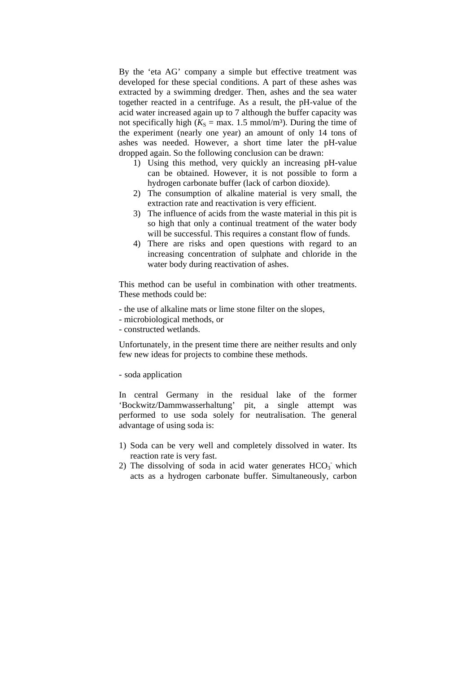By the 'eta AG' company a simple but effective treatment was developed for these special conditions. A part of these ashes was extracted by a swimming dredger. Then, ashes and the sea water together reacted in a centrifuge. As a result, the pH-value of the acid water increased again up to 7 although the buffer capacity was not specifically high ( $K_s$  = max. 1.5 mmol/m<sup>3</sup>). During the time of the experiment (nearly one year) an amount of only 14 tons of ashes was needed. However, a short time later the pH-value dropped again. So the following conclusion can be drawn:

- 1) Using this method, very quickly an increasing pH-value can be obtained. However, it is not possible to form a hydrogen carbonate buffer (lack of carbon dioxide).
- 2) The consumption of alkaline material is very small, the extraction rate and reactivation is very efficient.
- 3) The influence of acids from the waste material in this pit is so high that only a continual treatment of the water body will be successful. This requires a constant flow of funds.
- 4) There are risks and open questions with regard to an increasing concentration of sulphate and chloride in the water body during reactivation of ashes.

This method can be useful in combination with other treatments. These methods could be:

- the use of alkaline mats or lime stone filter on the slopes,
- microbiological methods, or
- constructed wetlands.

Unfortunately, in the present time there are neither results and only few new ideas for projects to combine these methods.

#### - soda application

In central Germany in the residual lake of the former 'Bockwitz/Dammwasserhaltung' pit, a single attempt was performed to use soda solely for neutralisation. The general advantage of using soda is:

- 1) Soda can be very well and completely dissolved in water. Its reaction rate is very fast.
- 2) The dissolving of soda in acid water generates  $HCO<sub>3</sub>$  which acts as a hydrogen carbonate buffer. Simultaneously, carbon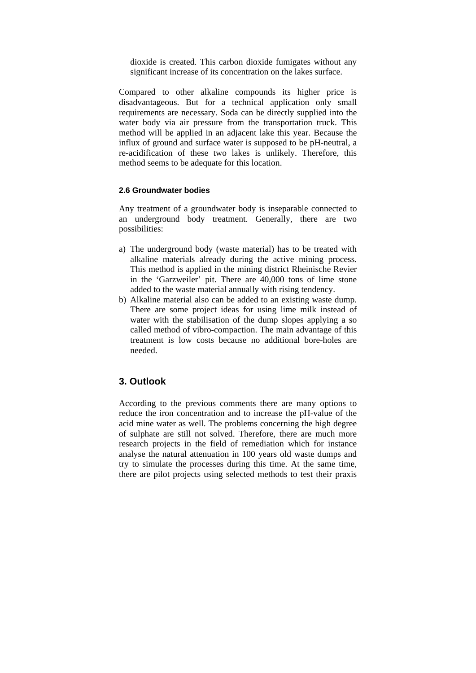dioxide is created. This carbon dioxide fumigates without any significant increase of its concentration on the lakes surface.

Compared to other alkaline compounds its higher price is disadvantageous. But for a technical application only small requirements are necessary. Soda can be directly supplied into the water body via air pressure from the transportation truck. This method will be applied in an adjacent lake this year. Because the influx of ground and surface water is supposed to be pH-neutral, a re-acidification of these two lakes is unlikely. Therefore, this method seems to be adequate for this location.

#### **2.6 Groundwater bodies**

Any treatment of a groundwater body is inseparable connected to an underground body treatment. Generally, there are two possibilities:

- a) The underground body (waste material) has to be treated with alkaline materials already during the active mining process. This method is applied in the mining district Rheinische Revier in the 'Garzweiler' pit. There are 40,000 tons of lime stone added to the waste material annually with rising tendency.
- b) Alkaline material also can be added to an existing waste dump. There are some project ideas for using lime milk instead of water with the stabilisation of the dump slopes applying a so called method of vibro-compaction. The main advantage of this treatment is low costs because no additional bore-holes are needed.

# **3. Outlook**

According to the previous comments there are many options to reduce the iron concentration and to increase the pH-value of the acid mine water as well. The problems concerning the high degree of sulphate are still not solved. Therefore, there are much more research projects in the field of remediation which for instance analyse the natural attenuation in 100 years old waste dumps and try to simulate the processes during this time. At the same time, there are pilot projects using selected methods to test their praxis